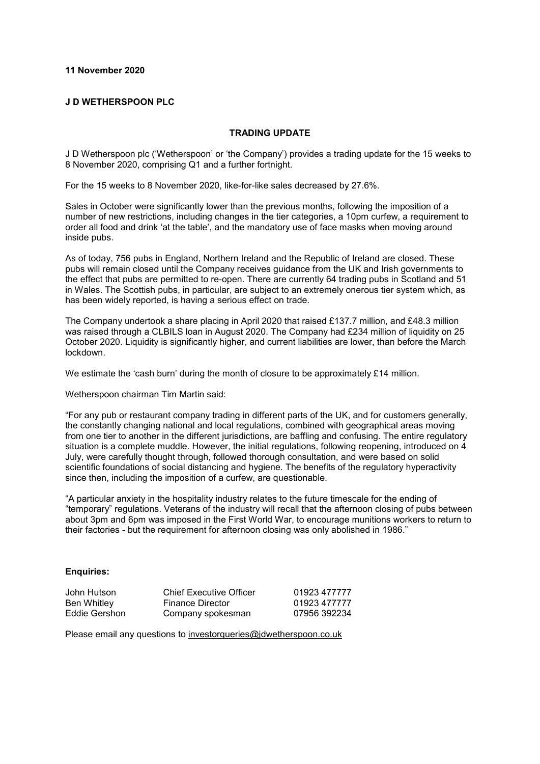## **11 November 2020**

## **J D WETHERSPOON PLC**

#### **TRADING UPDATE**

J D Wetherspoon plc ('Wetherspoon' or 'the Company') provides a trading update for the 15 weeks to 8 November 2020, comprising Q1 and a further fortnight.

For the 15 weeks to 8 November 2020, like-for-like sales decreased by 27.6%.

Sales in October were significantly lower than the previous months, following the imposition of a number of new restrictions, including changes in the tier categories, a 10pm curfew, a requirement to order all food and drink 'at the table', and the mandatory use of face masks when moving around inside pubs.

As of today, 756 pubs in England, Northern Ireland and the Republic of Ireland are closed. These pubs will remain closed until the Company receives guidance from the UK and Irish governments to the effect that pubs are permitted to re-open. There are currently 64 trading pubs in Scotland and 51 in Wales. The Scottish pubs, in particular, are subject to an extremely onerous tier system which, as has been widely reported, is having a serious effect on trade.

The Company undertook a share placing in April 2020 that raised £137.7 million, and £48.3 million was raised through a CLBILS loan in August 2020. The Company had £234 million of liquidity on 25 October 2020. Liquidity is significantly higher, and current liabilities are lower, than before the March lockdown.

We estimate the 'cash burn' during the month of closure to be approximately £14 million.

Wetherspoon chairman Tim Martin said:

"For any pub or restaurant company trading in different parts of the UK, and for customers generally, the constantly changing national and local regulations, combined with geographical areas moving from one tier to another in the different jurisdictions, are baffling and confusing. The entire regulatory situation is a complete muddle. However, the initial regulations, following reopening, introduced on 4 July, were carefully thought through, followed thorough consultation, and were based on solid scientific foundations of social distancing and hygiene. The benefits of the regulatory hyperactivity since then, including the imposition of a curfew, are questionable.

"A particular anxiety in the hospitality industry relates to the future timescale for the ending of "temporary" regulations. Veterans of the industry will recall that the afternoon closing of pubs between about 3pm and 6pm was imposed in the First World War, to encourage munitions workers to return to their factories - but the requirement for afternoon closing was only abolished in 1986."

## **Enquiries:**

John Hutson Chief Executive Officer 01923 477777 Ben Whitley **Finance Director** 61923 477777<br>Eddie Gershon Company spokesman 67956 392234 Company spokesman

Please email any questions to [investorqueries@jdwetherspoon.co.uk](mailto:investorqueries@jdwetherspoon.co.uk)